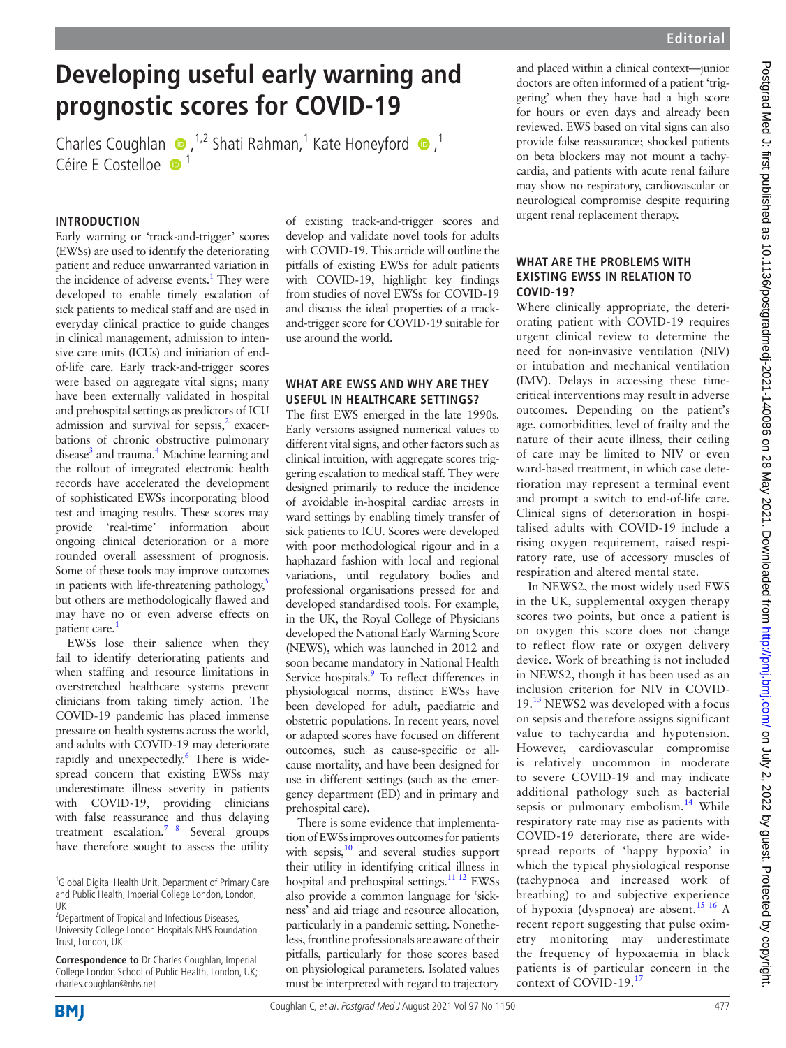# **Developing useful early warning and prognostic scores for COVID-19**

CharlesCoughlan  $\bullet$ , <sup>1,2</sup> Shati Rahman,<sup>1</sup> Kate Honeyford  $\bullet$ ,<sup>1</sup> Céire E Costelloe <sup>1</sup>

### **INTRODUCTION**

Early warning or 'track-and-trigger' scores (EWSs) are used to identify the deteriorating patient and reduce unwarranted variation in the incidence of adverse events.<sup>1</sup> They were developed to enable timely escalation of sick patients to medical staff and are used in everyday clinical practice to guide changes in clinical management, admission to intensive care units (ICUs) and initiation of endof-life care. Early track-and-trigger scores were based on aggregate vital signs; many have been externally validated in hospital and prehospital settings as predictors of ICU admission and survival for sepsis, $2$  exacerbations of chronic obstructive pulmonary disease<sup>3</sup> and trauma.<sup>[4](#page-3-3)</sup> Machine learning and the rollout of integrated electronic health records have accelerated the development of sophisticated EWSs incorporating blood test and imaging results. These scores may provide 'real-time' information about ongoing clinical deterioration or a more rounded overall assessment of prognosis. Some of these tools may improve outcomes in patients with life-threatening pathology, $\frac{5}{3}$  $\frac{5}{3}$  $\frac{5}{3}$ but others are methodologically flawed and may have no or even adverse effects on patient care.<sup>1</sup>

EWSs lose their salience when they fail to identify deteriorating patients and when staffing and resource limitations in overstretched healthcare systems prevent clinicians from taking timely action. The COVID-19 pandemic has placed immense pressure on health systems across the world, and adults with COVID-19 may deteriorate rapidly and unexpectedly.<sup>6</sup> There is widespread concern that existing EWSs may underestimate illness severity in patients with COVID-19, providing clinicians with false reassurance and thus delaying treatment escalation.<sup>7</sup> <sup>8</sup> Several groups have therefore sought to assess the utility

of existing track-and-trigger scores and develop and validate novel tools for adults with COVID-19. This article will outline the pitfalls of existing EWSs for adult patients with COVID-19, highlight key findings from studies of novel EWSs for COVID-19 and discuss the ideal properties of a trackand-trigger score for COVID-19 suitable for use around the world.

#### **WHAT ARE EWSS AND WHY ARE THEY USEFUL IN HEALTHCARE SETTINGS?**

The first EWS emerged in the late 1990s. Early versions assigned numerical values to different vital signs, and other factors such as clinical intuition, with aggregate scores triggering escalation to medical staff. They were designed primarily to reduce the incidence of avoidable in-hospital cardiac arrests in ward settings by enabling timely transfer of sick patients to ICU. Scores were developed with poor methodological rigour and in a haphazard fashion with local and regional variations, until regulatory bodies and professional organisations pressed for and developed standardised tools. For example, in the UK, the Royal College of Physicians developed the National Early Warning Score (NEWS), which was launched in 2012 and soon became mandatory in National Health Service hospitals.<sup>[9](#page-3-7)</sup> To reflect differences in physiological norms, distinct EWSs have been developed for adult, paediatric and obstetric populations. In recent years, novel or adapted scores have focused on different outcomes, such as cause-specific or allcause mortality, and have been designed for use in different settings (such as the emergency department (ED) and in primary and prehospital care).

There is some evidence that implementation of EWSs improves outcomes for patients with sepsis, $10$  and several studies support their utility in identifying critical illness in hospital and prehospital settings.<sup>11 12</sup> EWSs also provide a common language for 'sickness' and aid triage and resource allocation, particularly in a pandemic setting. Nonetheless, frontline professionals are aware of their pitfalls, particularly for those scores based on physiological parameters. Isolated values must be interpreted with regard to trajectory and placed within a clinical context—junior doctors are often informed of a patient 'triggering' when they have had a high score for hours or even days and already been reviewed. EWS based on vital signs can also provide false reassurance; shocked patients on beta blockers may not mount a tachycardia, and patients with acute renal failure may show no respiratory, cardiovascular or neurological compromise despite requiring urgent renal replacement therapy.

#### **WHAT ARE THE PROBLEMS WITH EXISTING EWSS IN RELATION TO COVID-19?**

Where clinically appropriate, the deteriorating patient with COVID-19 requires urgent clinical review to determine the need for non-invasive ventilation (NIV) or intubation and mechanical ventilation (IMV). Delays in accessing these timecritical interventions may result in adverse outcomes. Depending on the patient's age, comorbidities, level of frailty and the nature of their acute illness, their ceiling of care may be limited to NIV or even ward-based treatment, in which case deterioration may represent a terminal event and prompt a switch to end-of-life care. Clinical signs of deterioration in hospitalised adults with COVID-19 include a rising oxygen requirement, raised respiratory rate, use of accessory muscles of respiration and altered mental state.

In NEWS2, the most widely used EWS in the UK, supplemental oxygen therapy scores two points, but once a patient is on oxygen this score does not change to reflect flow rate or oxygen delivery device. Work of breathing is not included in NEWS2, though it has been used as an inclusion criterion for NIV in COVID-19.<sup>13</sup> NEWS2 was developed with a focus on sepsis and therefore assigns significant value to tachycardia and hypotension. However, cardiovascular compromise is relatively uncommon in moderate to severe COVID-19 and may indicate additional pathology such as bacterial sepsis or pulmonary embolism.<sup>[14](#page-3-11)</sup> While respiratory rate may rise as patients with COVID-19 deteriorate, there are widespread reports of 'happy hypoxia' in which the typical physiological response (tachypnoea and increased work of breathing) to and subjective experience of hypoxia (dyspnoea) are absent.<sup>15 16</sup> A recent report suggesting that pulse oximetry monitoring may underestimate the frequency of hypoxaemia in black patients is of particular concern in the context of COVID-19.[17](#page-3-13)



<sup>&</sup>lt;sup>1</sup>Global Digital Health Unit, Department of Primary Care and Public Health, Imperial College London, London, UK

<sup>&</sup>lt;sup>2</sup> Department of Tropical and Infectious Diseases, University College London Hospitals NHS Foundation Trust, London, LIK

**Correspondence to** Dr Charles Coughlan, Imperial College London School of Public Health, London, UK; charles.coughlan@nhs.net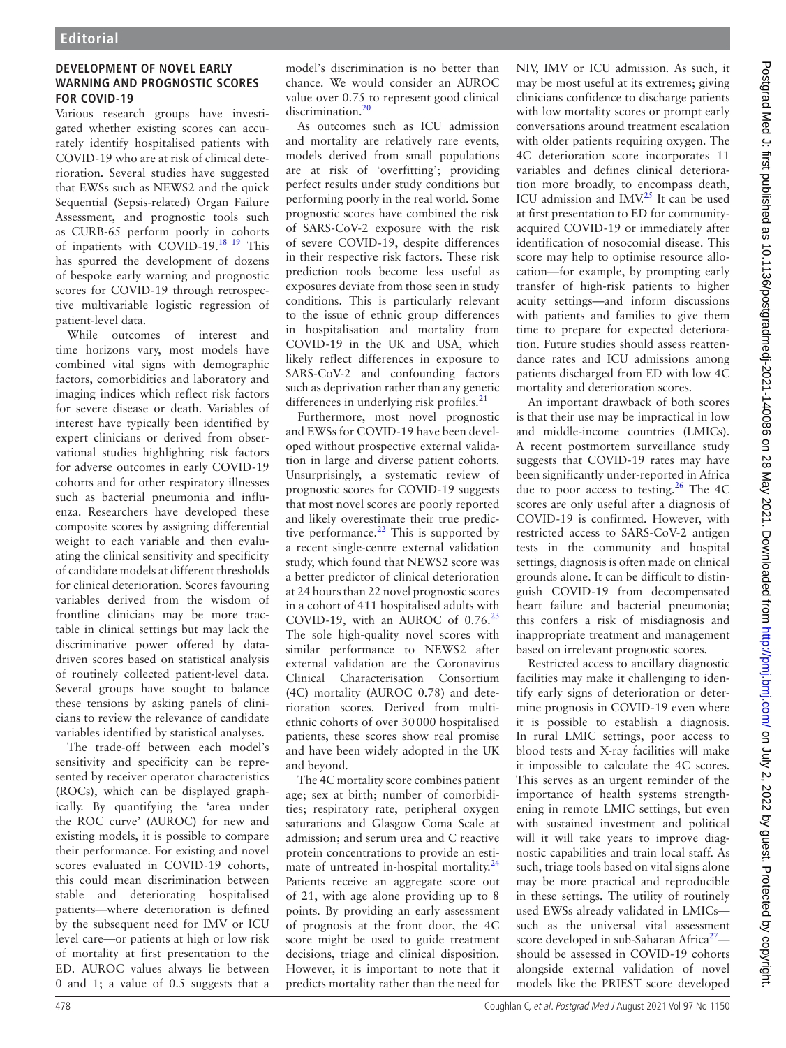## **DEVELOPMENT OF NOVEL EARLY WARNING AND PROGNOSTIC SCORES FOR COVID-19**

Various research groups have investigated whether existing scores can accurately identify hospitalised patients with COVID-19 who are at risk of clinical deterioration. Several studies have suggested that EWSs such as NEWS2 and the quick Sequential (Sepsis-related) Organ Failure Assessment, and prognostic tools such as CURB-65 perform poorly in cohorts of inpatients with COVID-19.[18 19](#page-3-14) This has spurred the development of dozens of bespoke early warning and prognostic scores for COVID-19 through retrospective multivariable logistic regression of patient-level data.

While outcomes of interest and time horizons vary, most models have combined vital signs with demographic factors, comorbidities and laboratory and imaging indices which reflect risk factors for severe disease or death. Variables of interest have typically been identified by expert clinicians or derived from observational studies highlighting risk factors for adverse outcomes in early COVID-19 cohorts and for other respiratory illnesses such as bacterial pneumonia and influenza. Researchers have developed these composite scores by assigning differential weight to each variable and then evaluating the clinical sensitivity and specificity of candidate models at different thresholds for clinical deterioration. Scores favouring variables derived from the wisdom of frontline clinicians may be more tractable in clinical settings but may lack the discriminative power offered by datadriven scores based on statistical analysis of routinely collected patient-level data. Several groups have sought to balance these tensions by asking panels of clinicians to review the relevance of candidate variables identified by statistical analyses.

The trade-off between each model's sensitivity and specificity can be represented by receiver operator characteristics (ROCs), which can be displayed graphically. By quantifying the 'area under the ROC curve' (AUROC) for new and existing models, it is possible to compare their performance. For existing and novel scores evaluated in COVID-19 cohorts, this could mean discrimination between stable and deteriorating hospitalised patients—where deterioration is defined by the subsequent need for IMV or ICU level care—or patients at high or low risk of mortality at first presentation to the ED. AUROC values always lie between 0 and 1; a value of 0.5 suggests that a

model's discrimination is no better than chance. We would consider an AUROC value over 0.75 to represent good clinical discrimination.<sup>[20](#page-3-15)</sup>

As outcomes such as ICU admission and mortality are relatively rare events, models derived from small populations are at risk of 'overfitting'; providing perfect results under study conditions but performing poorly in the real world. Some prognostic scores have combined the risk of SARS-CoV-2 exposure with the risk of severe COVID-19, despite differences in their respective risk factors. These risk prediction tools become less useful as exposures deviate from those seen in study conditions. This is particularly relevant to the issue of ethnic group differences in hospitalisation and mortality from COVID-19 in the UK and USA, which likely reflect differences in exposure to SARS-CoV-2 and confounding factors such as deprivation rather than any genetic differences in underlying risk profiles. $^{21}$ 

Furthermore, most novel prognostic and EWSs for COVID-19 have been developed without prospective external validation in large and diverse patient cohorts. Unsurprisingly, a systematic review of prognostic scores for COVID-19 suggests that most novel scores are poorly reported and likely overestimate their true predictive performance. $^{22}$  This is supported by a recent single-centre external validation study, which found that NEWS2 score was a better predictor of clinical deterioration at 24 hours than 22 novel prognostic scores in a cohort of 411 hospitalised adults with COVID-19, with an AUROC of  $0.76<sup>23</sup>$ The sole high-quality novel scores with similar performance to NEWS2 after external validation are the Coronavirus Clinical Characterisation Consortium (4C) mortality (AUROC 0.78) and deterioration scores. Derived from multiethnic cohorts of over 30000 hospitalised patients, these scores show real promise and have been widely adopted in the UK and beyond.

The 4C mortality score combines patient age; sex at birth; number of comorbidities; respiratory rate, peripheral oxygen saturations and Glasgow Coma Scale at admission; and serum urea and C reactive protein concentrations to provide an esti-mate of untreated in-hospital mortality.<sup>[24](#page-3-19)</sup> Patients receive an aggregate score out of 21, with age alone providing up to 8 points. By providing an early assessment of prognosis at the front door, the 4C score might be used to guide treatment decisions, triage and clinical disposition. However, it is important to note that it predicts mortality rather than the need for

NIV, IMV or ICU admission. As such, it may be most useful at its extremes; giving clinicians confidence to discharge patients with low mortality scores or prompt early conversations around treatment escalation with older patients requiring oxygen. The 4C deterioration score incorporates 11 variables and defines clinical deterioration more broadly, to encompass death, ICU admission and IMV.<sup>25</sup> It can be used at first presentation to ED for communityacquired COVID-19 or immediately after identification of nosocomial disease. This score may help to optimise resource allocation—for example, by prompting early transfer of high-risk patients to higher acuity settings—and inform discussions with patients and families to give them time to prepare for expected deterioration. Future studies should assess reattendance rates and ICU admissions among patients discharged from ED with low 4C mortality and deterioration scores.

An important drawback of both scores is that their use may be impractical in low and middle-income countries (LMICs). A recent postmortem surveillance study suggests that COVID-19 rates may have been significantly under-reported in Africa due to poor access to testing.<sup>[26](#page-3-21)</sup> The 4C scores are only useful after a diagnosis of COVID-19 is confirmed. However, with restricted access to SARS-CoV-2 antigen tests in the community and hospital settings, diagnosis is often made on clinical grounds alone. It can be difficult to distinguish COVID-19 from decompensated heart failure and bacterial pneumonia; this confers a risk of misdiagnosis and inappropriate treatment and management based on irrelevant prognostic scores.

Restricted access to ancillary diagnostic facilities may make it challenging to identify early signs of deterioration or determine prognosis in COVID-19 even where it is possible to establish a diagnosis. In rural LMIC settings, poor access to blood tests and X-ray facilities will make it impossible to calculate the 4C scores. This serves as an urgent reminder of the importance of health systems strengthening in remote LMIC settings, but even with sustained investment and political will it will take years to improve diagnostic capabilities and train local staff. As such, triage tools based on vital signs alone may be more practical and reproducible in these settings. The utility of routinely used EWSs already validated in LMICs such as the universal vital assessment score developed in sub-Saharan Africa<sup>[27](#page-3-22)</sup> should be assessed in COVID-19 cohorts alongside external validation of novel models like the PRIEST score developed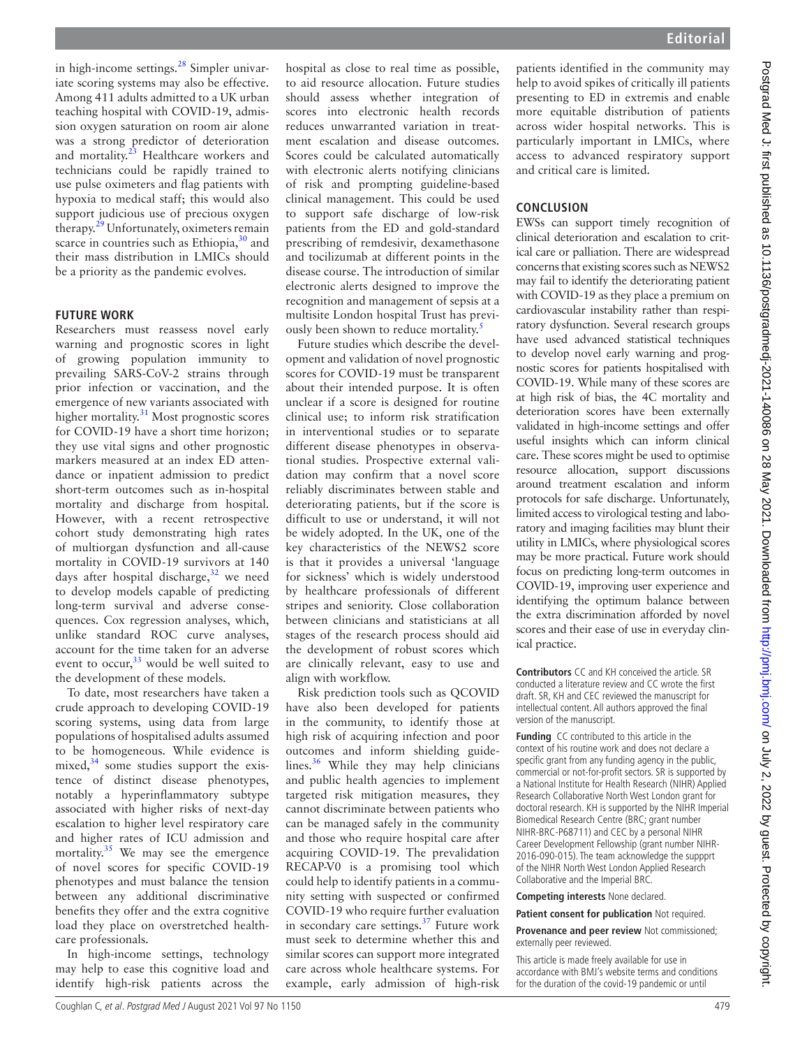in high-income settings. $^{28}$  $^{28}$  $^{28}$  Simpler univariate scoring systems may also be effective. Among 411 adults admitted to a UK urban teaching hospital with COVID-19, admission oxygen saturation on room air alone was a strong predictor of deterioration and mortality.<sup>23</sup> Healthcare workers and technicians could be rapidly trained to use pulse oximeters and flag patients with hypoxia to medical staff; this would also support judicious use of precious oxygen therapy.<sup>[29](#page-3-24)</sup> Unfortunately, oximeters remain scarce in countries such as Ethiopia, $30$  and their mass distribution in LMICs should be a priority as the pandemic evolves.

#### **FUTURE WORK**

Researchers must reassess novel early warning and prognostic scores in light of growing population immunity to prevailing SARS-CoV-2 strains through prior infection or vaccination, and the emergence of new variants associated with higher mortality.<sup>31</sup> Most prognostic scores for COVID-19 have a short time horizon; they use vital signs and other prognostic markers measured at an index ED attendance or inpatient admission to predict short-term outcomes such as in-hospital mortality and discharge from hospital. However, with a recent retrospective cohort study demonstrating high rates of multiorgan dysfunction and all-cause mortality in COVID-19 survivors at 140 days after hospital discharge, $32$  we need to develop models capable of predicting long-term survival and adverse consequences. Cox regression analyses, which, unlike standard ROC curve analyses, account for the time taken for an adverse event to occur,  $33$  would be well suited to the development of these models.

To date, most researchers have taken a crude approach to developing COVID-19 scoring systems, using data from large populations of hospitalised adults assumed to be homogeneous. While evidence is mixed, $34$  some studies support the existence of distinct disease phenotypes, notably a hyperinflammatory subtype associated with higher risks of next-day escalation to higher level respiratory care and higher rates of ICU admission and mortality.<sup>35</sup> We may see the emergence of novel scores for specific COVID-19 phenotypes and must balance the tension between any additional discriminative benefits they offer and the extra cognitive load they place on overstretched healthcare professionals.

In high-income settings, technology may help to ease this cognitive load and identify high-risk patients across the hospital as close to real time as possible, to aid resource allocation. Future studies should assess whether integration of scores into electronic health records reduces unwarranted variation in treatment escalation and disease outcomes. Scores could be calculated automatically with electronic alerts notifying clinicians of risk and prompting guideline-based clinical management. This could be used to support safe discharge of low-risk patients from the ED and gold-standard prescribing of remdesivir, dexamethasone and tocilizumab at different points in the disease course. The introduction of similar electronic alerts designed to improve the recognition and management of sepsis at a multisite London hospital Trust has previ-ously been shown to reduce mortality.<sup>[5](#page-3-4)</sup>

Future studies which describe the development and validation of novel prognostic scores for COVID-19 must be transparent about their intended purpose. It is often unclear if a score is designed for routine clinical use; to inform risk stratification in interventional studies or to separate different disease phenotypes in observational studies. Prospective external validation may confirm that a novel score reliably discriminates between stable and deteriorating patients, but if the score is difficult to use or understand, it will not be widely adopted. In the UK, one of the key characteristics of the NEWS2 score is that it provides a universal 'language for sickness' which is widely understood by healthcare professionals of different stripes and seniority. Close collaboration between clinicians and statisticians at all stages of the research process should aid the development of robust scores which are clinically relevant, easy to use and align with workflow.

Risk prediction tools such as QCOVID have also been developed for patients in the community, to identify those at high risk of acquiring infection and poor outcomes and inform shielding guidelines. $36$  While they may help clinicians and public health agencies to implement targeted risk mitigation measures, they cannot discriminate between patients who can be managed safely in the community and those who require hospital care after acquiring COVID-19. The prevalidation RECAP-V0 is a promising tool which could help to identify patients in a community setting with suspected or confirmed COVID-19 who require further evaluation in secondary care settings. $37$  Future work must seek to determine whether this and similar scores can support more integrated care across whole healthcare systems. For example, early admission of high-risk

patients identified in the community may help to avoid spikes of critically ill patients presenting to ED in extremis and enable more equitable distribution of patients across wider hospital networks. This is particularly important in LMICs, where access to advanced respiratory support and critical care is limited.

## **CONCLUSION**

EWSs can support timely recognition of clinical deterioration and escalation to critical care or palliation. There are widespread concerns that existing scores such as NEWS2 may fail to identify the deteriorating patient with COVID-19 as they place a premium on cardiovascular instability rather than respiratory dysfunction. Several research groups have used advanced statistical techniques to develop novel early warning and prognostic scores for patients hospitalised with COVID-19. While many of these scores are at high risk of bias, the 4C mortality and deterioration scores have been externally validated in high-income settings and offer useful insights which can inform clinical care. These scores might be used to optimise resource allocation, support discussions around treatment escalation and inform protocols for safe discharge. Unfortunately, limited access to virological testing and laboratory and imaging facilities may blunt their utility in LMICs, where physiological scores may be more practical. Future work should focus on predicting long-term outcomes in COVID-19, improving user experience and identifying the optimum balance between the extra discrimination afforded by novel scores and their ease of use in everyday clinical practice.

**Contributors** CC and KH conceived the article. SR conducted a literature review and CC wrote the first draft. SR, KH and CEC reviewed the manuscript for intellectual content. All authors approved the final version of the manuscript.

**Funding** CC contributed to this article in the context of his routine work and does not declare a specific grant from any funding agency in the public, commercial or not-for-profit sectors. SR is supported by a National Institute for Health Research (NIHR) Applied Research Collaborative North West London grant for doctoral research. KH is supported by the NIHR Imperial Biomedical Research Centre (BRC; grant number NIHR-BRC-P68711) and CEC by a personal NIHR Career Development Fellowship (grant number NIHR-2016-090-015). The team acknowledge the suppprt of the NIHR North West London Applied Research Collaborative and the Imperial BRC.

**Competing interests** None declared.

**Patient consent for publication** Not required.

**Provenance and peer review** Not commissioned; externally peer reviewed.

This article is made freely available for use in accordance with BMJ's website terms and conditions for the duration of the covid-19 pandemic or until